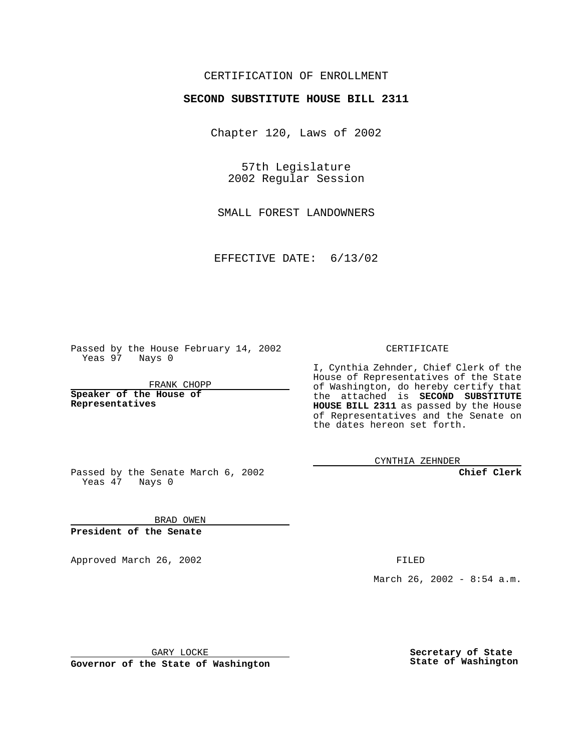## CERTIFICATION OF ENROLLMENT

## **SECOND SUBSTITUTE HOUSE BILL 2311**

Chapter 120, Laws of 2002

57th Legislature 2002 Regular Session

SMALL FOREST LANDOWNERS

EFFECTIVE DATE: 6/13/02

Passed by the House February 14, 2002 Yeas 97 Nays 0

FRANK CHOPP

**Speaker of the House of Representatives**

CERTIFICATE

I, Cynthia Zehnder, Chief Clerk of the House of Representatives of the State of Washington, do hereby certify that the attached is **SECOND SUBSTITUTE HOUSE BILL 2311** as passed by the House of Representatives and the Senate on the dates hereon set forth.

CYNTHIA ZEHNDER

**Chief Clerk**

Passed by the Senate March 6, 2002 Yeas  $47$  Nays 0

BRAD OWEN **President of the Senate**

Approved March 26, 2002 **FILED** 

March 26, 2002 - 8:54 a.m.

GARY LOCKE

**Governor of the State of Washington**

**Secretary of State State of Washington**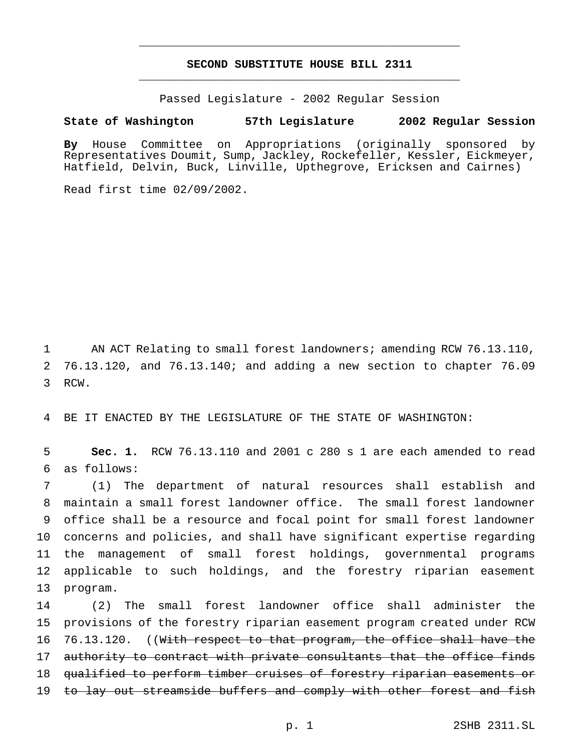## **SECOND SUBSTITUTE HOUSE BILL 2311** \_\_\_\_\_\_\_\_\_\_\_\_\_\_\_\_\_\_\_\_\_\_\_\_\_\_\_\_\_\_\_\_\_\_\_\_\_\_\_\_\_\_\_\_\_\_\_

\_\_\_\_\_\_\_\_\_\_\_\_\_\_\_\_\_\_\_\_\_\_\_\_\_\_\_\_\_\_\_\_\_\_\_\_\_\_\_\_\_\_\_\_\_\_\_

Passed Legislature - 2002 Regular Session

## **State of Washington 57th Legislature 2002 Regular Session**

**By** House Committee on Appropriations (originally sponsored by Representatives Doumit, Sump, Jackley, Rockefeller, Kessler, Eickmeyer, Hatfield, Delvin, Buck, Linville, Upthegrove, Ericksen and Cairnes)

Read first time 02/09/2002.

1 AN ACT Relating to small forest landowners; amending RCW 76.13.110, 2 76.13.120, and 76.13.140; and adding a new section to chapter 76.09 3 RCW.

4 BE IT ENACTED BY THE LEGISLATURE OF THE STATE OF WASHINGTON:

5 **Sec. 1.** RCW 76.13.110 and 2001 c 280 s 1 are each amended to read 6 as follows:

 (1) The department of natural resources shall establish and maintain a small forest landowner office. The small forest landowner office shall be a resource and focal point for small forest landowner concerns and policies, and shall have significant expertise regarding the management of small forest holdings, governmental programs applicable to such holdings, and the forestry riparian easement 13 program.

14 (2) The small forest landowner office shall administer the 15 provisions of the forestry riparian easement program created under RCW 16 76.13.120. ((With respect to that program, the office shall have the 17 authority to contract with private consultants that the office finds 18 qualified to perform timber cruises of forestry riparian easements or 19 to lay out streamside buffers and comply with other forest and fish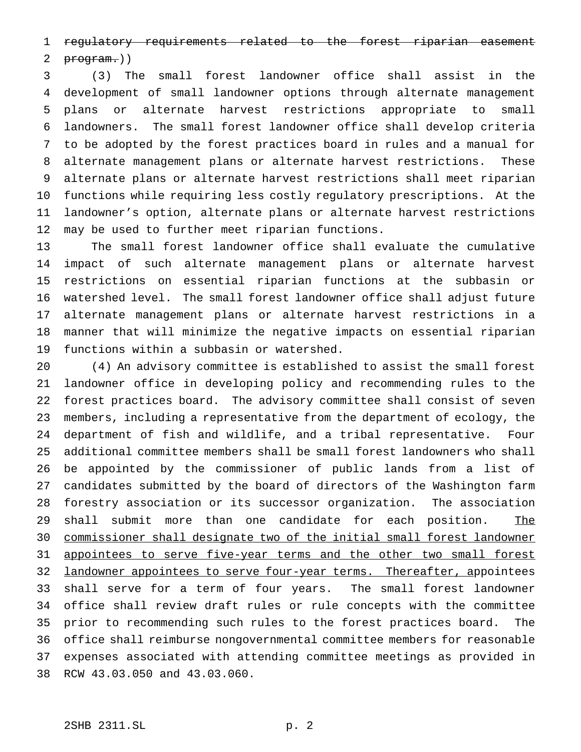regulatory requirements related to the forest riparian easement

2  $<sub>program.</sub>)$ </sub>

 (3) The small forest landowner office shall assist in the development of small landowner options through alternate management plans or alternate harvest restrictions appropriate to small landowners. The small forest landowner office shall develop criteria to be adopted by the forest practices board in rules and a manual for alternate management plans or alternate harvest restrictions. These alternate plans or alternate harvest restrictions shall meet riparian functions while requiring less costly regulatory prescriptions. At the landowner's option, alternate plans or alternate harvest restrictions may be used to further meet riparian functions.

 The small forest landowner office shall evaluate the cumulative impact of such alternate management plans or alternate harvest restrictions on essential riparian functions at the subbasin or watershed level. The small forest landowner office shall adjust future alternate management plans or alternate harvest restrictions in a manner that will minimize the negative impacts on essential riparian functions within a subbasin or watershed.

 (4) An advisory committee is established to assist the small forest landowner office in developing policy and recommending rules to the forest practices board. The advisory committee shall consist of seven members, including a representative from the department of ecology, the department of fish and wildlife, and a tribal representative. Four additional committee members shall be small forest landowners who shall be appointed by the commissioner of public lands from a list of candidates submitted by the board of directors of the Washington farm forestry association or its successor organization. The association 29 shall submit more than one candidate for each position. The commissioner shall designate two of the initial small forest landowner 31 appointees to serve five-year terms and the other two small forest 32 landowner appointees to serve four-year terms. Thereafter, appointees shall serve for a term of four years. The small forest landowner office shall review draft rules or rule concepts with the committee prior to recommending such rules to the forest practices board. The office shall reimburse nongovernmental committee members for reasonable expenses associated with attending committee meetings as provided in RCW 43.03.050 and 43.03.060.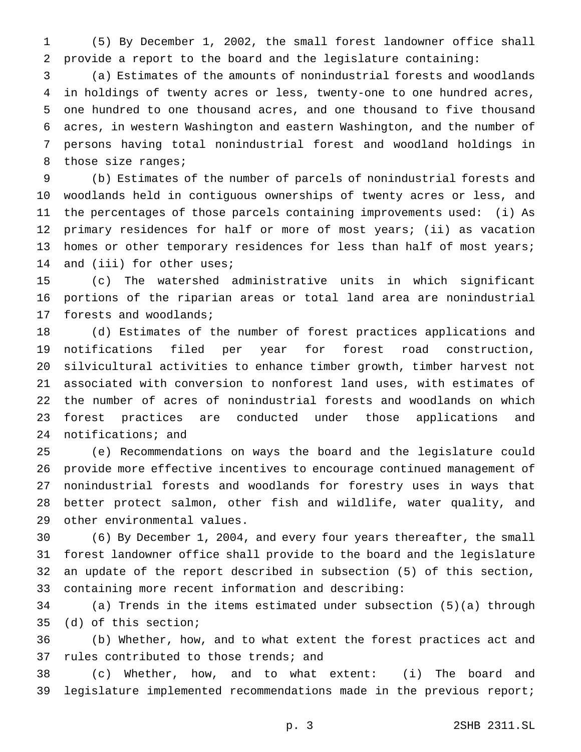(5) By December 1, 2002, the small forest landowner office shall provide a report to the board and the legislature containing:

 (a) Estimates of the amounts of nonindustrial forests and woodlands in holdings of twenty acres or less, twenty-one to one hundred acres, one hundred to one thousand acres, and one thousand to five thousand acres, in western Washington and eastern Washington, and the number of persons having total nonindustrial forest and woodland holdings in 8 those size ranges;

 (b) Estimates of the number of parcels of nonindustrial forests and woodlands held in contiguous ownerships of twenty acres or less, and the percentages of those parcels containing improvements used: (i) As primary residences for half or more of most years; (ii) as vacation 13 homes or other temporary residences for less than half of most years; 14 and (iii) for other uses;

 (c) The watershed administrative units in which significant portions of the riparian areas or total land area are nonindustrial forests and woodlands;

 (d) Estimates of the number of forest practices applications and notifications filed per year for forest road construction, silvicultural activities to enhance timber growth, timber harvest not associated with conversion to nonforest land uses, with estimates of the number of acres of nonindustrial forests and woodlands on which forest practices are conducted under those applications and notifications; and

 (e) Recommendations on ways the board and the legislature could provide more effective incentives to encourage continued management of nonindustrial forests and woodlands for forestry uses in ways that better protect salmon, other fish and wildlife, water quality, and other environmental values.

 (6) By December 1, 2004, and every four years thereafter, the small forest landowner office shall provide to the board and the legislature an update of the report described in subsection (5) of this section, containing more recent information and describing:

 (a) Trends in the items estimated under subsection (5)(a) through (d) of this section;

 (b) Whether, how, and to what extent the forest practices act and rules contributed to those trends; and

 (c) Whether, how, and to what extent: (i) The board and legislature implemented recommendations made in the previous report;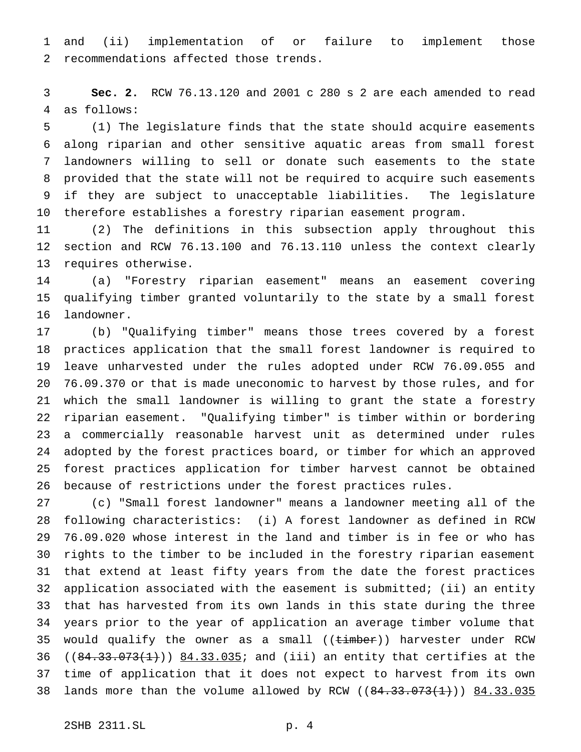and (ii) implementation of or failure to implement those recommendations affected those trends.

 **Sec. 2.** RCW 76.13.120 and 2001 c 280 s 2 are each amended to read as follows:

 (1) The legislature finds that the state should acquire easements along riparian and other sensitive aquatic areas from small forest landowners willing to sell or donate such easements to the state provided that the state will not be required to acquire such easements if they are subject to unacceptable liabilities. The legislature therefore establishes a forestry riparian easement program.

 (2) The definitions in this subsection apply throughout this section and RCW 76.13.100 and 76.13.110 unless the context clearly requires otherwise.

 (a) "Forestry riparian easement" means an easement covering qualifying timber granted voluntarily to the state by a small forest landowner.

 (b) "Qualifying timber" means those trees covered by a forest practices application that the small forest landowner is required to leave unharvested under the rules adopted under RCW 76.09.055 and 76.09.370 or that is made uneconomic to harvest by those rules, and for which the small landowner is willing to grant the state a forestry riparian easement. "Qualifying timber" is timber within or bordering a commercially reasonable harvest unit as determined under rules adopted by the forest practices board, or timber for which an approved forest practices application for timber harvest cannot be obtained because of restrictions under the forest practices rules.

 (c) "Small forest landowner" means a landowner meeting all of the following characteristics: (i) A forest landowner as defined in RCW 76.09.020 whose interest in the land and timber is in fee or who has rights to the timber to be included in the forestry riparian easement that extend at least fifty years from the date the forest practices application associated with the easement is submitted; (ii) an entity that has harvested from its own lands in this state during the three years prior to the year of application an average timber volume that 35 would qualify the owner as a small ((timber)) harvester under RCW 36 ( $(84.33.073(1))$   $84.33.035$ ; and (iii) an entity that certifies at the time of application that it does not expect to harvest from its own 38 lands more than the volume allowed by RCW ((84.33.073(1))) 84.33.035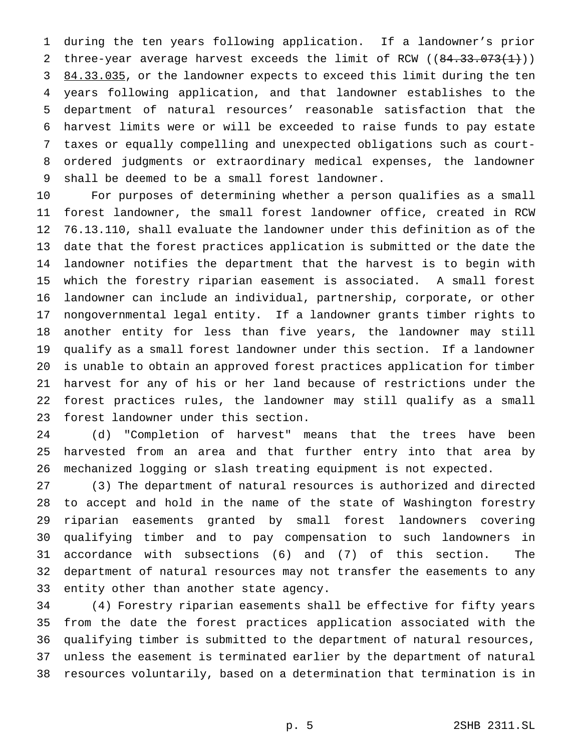during the ten years following application. If a landowner's prior 2 three-year average harvest exceeds the limit of RCW ((84.33.073(1))) 3 84.33.035, or the landowner expects to exceed this limit during the ten years following application, and that landowner establishes to the department of natural resources' reasonable satisfaction that the harvest limits were or will be exceeded to raise funds to pay estate taxes or equally compelling and unexpected obligations such as court- ordered judgments or extraordinary medical expenses, the landowner shall be deemed to be a small forest landowner.

 For purposes of determining whether a person qualifies as a small forest landowner, the small forest landowner office, created in RCW 76.13.110, shall evaluate the landowner under this definition as of the date that the forest practices application is submitted or the date the landowner notifies the department that the harvest is to begin with which the forestry riparian easement is associated. A small forest landowner can include an individual, partnership, corporate, or other nongovernmental legal entity. If a landowner grants timber rights to another entity for less than five years, the landowner may still qualify as a small forest landowner under this section. If a landowner is unable to obtain an approved forest practices application for timber harvest for any of his or her land because of restrictions under the forest practices rules, the landowner may still qualify as a small forest landowner under this section.

 (d) "Completion of harvest" means that the trees have been harvested from an area and that further entry into that area by mechanized logging or slash treating equipment is not expected.

 (3) The department of natural resources is authorized and directed to accept and hold in the name of the state of Washington forestry riparian easements granted by small forest landowners covering qualifying timber and to pay compensation to such landowners in accordance with subsections (6) and (7) of this section. The department of natural resources may not transfer the easements to any entity other than another state agency.

 (4) Forestry riparian easements shall be effective for fifty years from the date the forest practices application associated with the qualifying timber is submitted to the department of natural resources, unless the easement is terminated earlier by the department of natural resources voluntarily, based on a determination that termination is in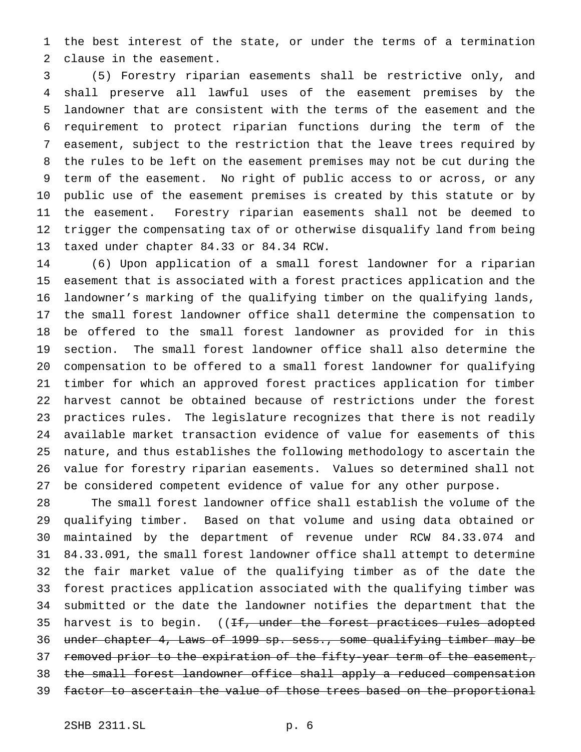the best interest of the state, or under the terms of a termination clause in the easement.

 (5) Forestry riparian easements shall be restrictive only, and shall preserve all lawful uses of the easement premises by the landowner that are consistent with the terms of the easement and the requirement to protect riparian functions during the term of the easement, subject to the restriction that the leave trees required by the rules to be left on the easement premises may not be cut during the term of the easement. No right of public access to or across, or any public use of the easement premises is created by this statute or by the easement. Forestry riparian easements shall not be deemed to trigger the compensating tax of or otherwise disqualify land from being taxed under chapter 84.33 or 84.34 RCW.

 (6) Upon application of a small forest landowner for a riparian easement that is associated with a forest practices application and the landowner's marking of the qualifying timber on the qualifying lands, the small forest landowner office shall determine the compensation to be offered to the small forest landowner as provided for in this section. The small forest landowner office shall also determine the compensation to be offered to a small forest landowner for qualifying timber for which an approved forest practices application for timber harvest cannot be obtained because of restrictions under the forest practices rules. The legislature recognizes that there is not readily available market transaction evidence of value for easements of this nature, and thus establishes the following methodology to ascertain the value for forestry riparian easements. Values so determined shall not be considered competent evidence of value for any other purpose.

 The small forest landowner office shall establish the volume of the qualifying timber. Based on that volume and using data obtained or maintained by the department of revenue under RCW 84.33.074 and 84.33.091, the small forest landowner office shall attempt to determine the fair market value of the qualifying timber as of the date the forest practices application associated with the qualifying timber was submitted or the date the landowner notifies the department that the 35 harvest is to begin. ((<del>If, under the forest practices rules adopted</del> under chapter 4, Laws of 1999 sp. sess., some qualifying timber may be 37 removed prior to the expiration of the fifty-year term of the easement, 38 the small forest landowner office shall apply a reduced compensation 39 factor to ascertain the value of those trees based on the proportional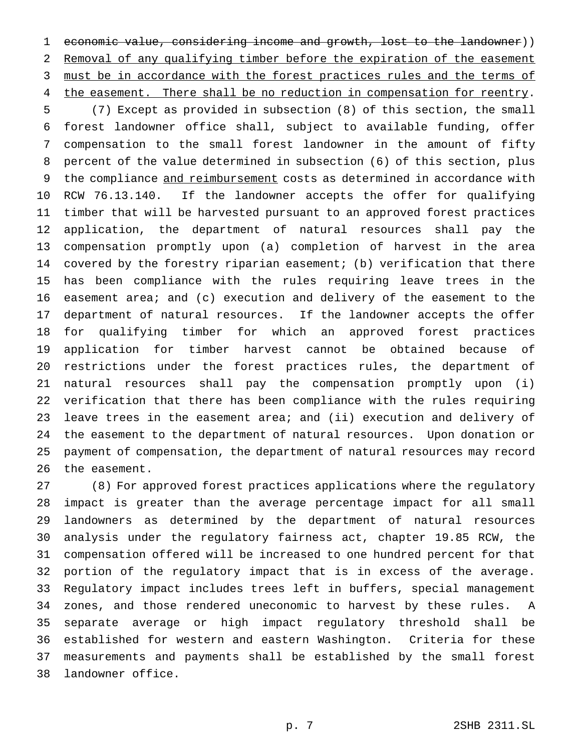economic value, considering income and growth, lost to the landowner)) Removal of any qualifying timber before the expiration of the easement 3 must be in accordance with the forest practices rules and the terms of 4 the easement. There shall be no reduction in compensation for reentry.

 (7) Except as provided in subsection (8) of this section, the small forest landowner office shall, subject to available funding, offer compensation to the small forest landowner in the amount of fifty percent of the value determined in subsection (6) of this section, plus 9 the compliance and reimbursement costs as determined in accordance with RCW 76.13.140. If the landowner accepts the offer for qualifying timber that will be harvested pursuant to an approved forest practices application, the department of natural resources shall pay the compensation promptly upon (a) completion of harvest in the area covered by the forestry riparian easement; (b) verification that there has been compliance with the rules requiring leave trees in the easement area; and (c) execution and delivery of the easement to the department of natural resources. If the landowner accepts the offer for qualifying timber for which an approved forest practices application for timber harvest cannot be obtained because of restrictions under the forest practices rules, the department of natural resources shall pay the compensation promptly upon (i) verification that there has been compliance with the rules requiring 23 leave trees in the easement area; and (ii) execution and delivery of the easement to the department of natural resources. Upon donation or payment of compensation, the department of natural resources may record the easement.

 (8) For approved forest practices applications where the regulatory impact is greater than the average percentage impact for all small landowners as determined by the department of natural resources analysis under the regulatory fairness act, chapter 19.85 RCW, the compensation offered will be increased to one hundred percent for that portion of the regulatory impact that is in excess of the average. Regulatory impact includes trees left in buffers, special management zones, and those rendered uneconomic to harvest by these rules. A separate average or high impact regulatory threshold shall be established for western and eastern Washington. Criteria for these measurements and payments shall be established by the small forest landowner office.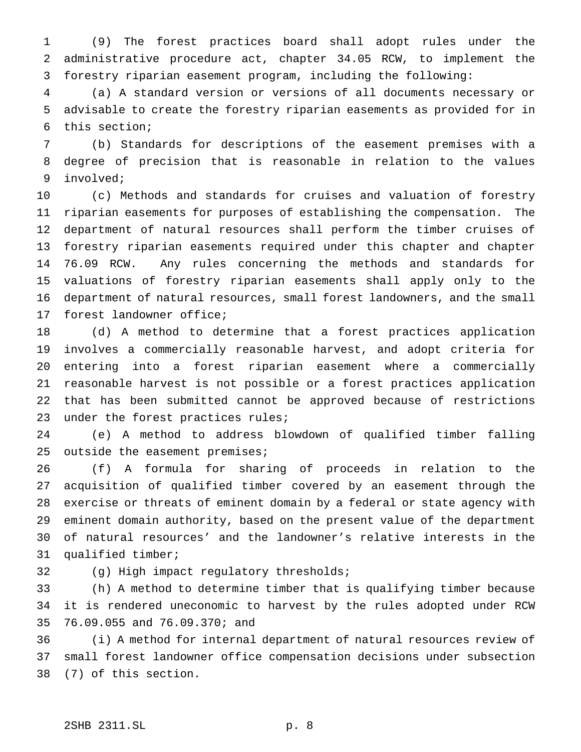(9) The forest practices board shall adopt rules under the administrative procedure act, chapter 34.05 RCW, to implement the forestry riparian easement program, including the following:

 (a) A standard version or versions of all documents necessary or advisable to create the forestry riparian easements as provided for in this section;

 (b) Standards for descriptions of the easement premises with a degree of precision that is reasonable in relation to the values involved;

 (c) Methods and standards for cruises and valuation of forestry riparian easements for purposes of establishing the compensation. The department of natural resources shall perform the timber cruises of forestry riparian easements required under this chapter and chapter 76.09 RCW. Any rules concerning the methods and standards for valuations of forestry riparian easements shall apply only to the department of natural resources, small forest landowners, and the small forest landowner office;

 (d) A method to determine that a forest practices application involves a commercially reasonable harvest, and adopt criteria for entering into a forest riparian easement where a commercially reasonable harvest is not possible or a forest practices application that has been submitted cannot be approved because of restrictions under the forest practices rules;

 (e) A method to address blowdown of qualified timber falling outside the easement premises;

 (f) A formula for sharing of proceeds in relation to the acquisition of qualified timber covered by an easement through the exercise or threats of eminent domain by a federal or state agency with eminent domain authority, based on the present value of the department of natural resources' and the landowner's relative interests in the qualified timber;

(g) High impact regulatory thresholds;

 (h) A method to determine timber that is qualifying timber because it is rendered uneconomic to harvest by the rules adopted under RCW 76.09.055 and 76.09.370; and

 (i) A method for internal department of natural resources review of small forest landowner office compensation decisions under subsection (7) of this section.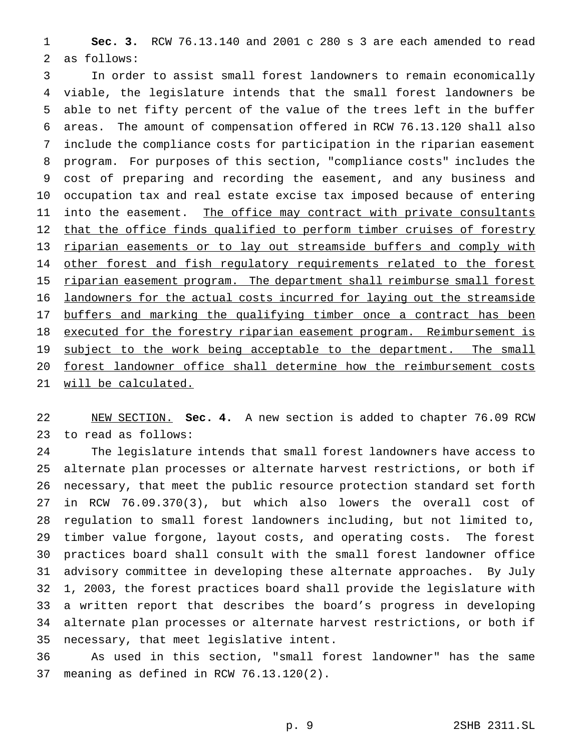**Sec. 3.** RCW 76.13.140 and 2001 c 280 s 3 are each amended to read as follows:

 In order to assist small forest landowners to remain economically viable, the legislature intends that the small forest landowners be able to net fifty percent of the value of the trees left in the buffer areas. The amount of compensation offered in RCW 76.13.120 shall also include the compliance costs for participation in the riparian easement program. For purposes of this section, "compliance costs" includes the cost of preparing and recording the easement, and any business and occupation tax and real estate excise tax imposed because of entering 11 into the easement. The office may contract with private consultants 12 that the office finds qualified to perform timber cruises of forestry 13 riparian easements or to lay out streamside buffers and comply with 14 other forest and fish regulatory requirements related to the forest 15 riparian easement program. The department shall reimburse small forest 16 landowners for the actual costs incurred for laying out the streamside 17 buffers and marking the qualifying timber once a contract has been 18 executed for the forestry riparian easement program. Reimbursement is 19 subject to the work being acceptable to the department. The small forest landowner office shall determine how the reimbursement costs will be calculated.

 NEW SECTION. **Sec. 4.** A new section is added to chapter 76.09 RCW to read as follows:

 The legislature intends that small forest landowners have access to alternate plan processes or alternate harvest restrictions, or both if necessary, that meet the public resource protection standard set forth in RCW 76.09.370(3), but which also lowers the overall cost of regulation to small forest landowners including, but not limited to, timber value forgone, layout costs, and operating costs. The forest practices board shall consult with the small forest landowner office advisory committee in developing these alternate approaches. By July 1, 2003, the forest practices board shall provide the legislature with a written report that describes the board's progress in developing alternate plan processes or alternate harvest restrictions, or both if necessary, that meet legislative intent.

 As used in this section, "small forest landowner" has the same meaning as defined in RCW 76.13.120(2).